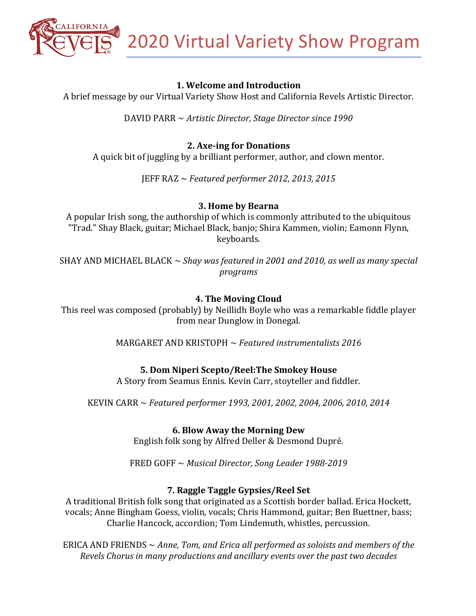2020 Virtual Variety Show Program

## **1. Welcome and Introduction**

A brief message by our Virtual Variety Show Host and California Revels Artistic Director.

DAVID PARR ~ *Artistic Director, Stage Director since* 1990

### **2. Axe-ing for Donations**

A quick bit of juggling by a brilliant performer, author, and clown mentor.

JEFF RAZ ~ *Featured performer 2012, 2013, 2015*

#### **3. Home by Bearna**

A popular Irish song, the authorship of which is commonly attributed to the ubiquitous "Trad." Shay Black, guitar; Michael Black, banjo; Shira Kammen, violin; Eamonn Flynn, keyboards.

SHAY AND MICHAEL BLACK  $\sim$  *Shay was featured in 2001 and 2010, as well as many special programs*

### **4. The Moving Cloud**

This reel was composed (probably) by Neillidh Boyle who was a remarkable fiddle player from near Dunglow in Donegal.

MARGARET AND KRISTOPH  $\sim$  *Featured instrumentalists 2016* 

#### **5. Dom Niperi Scepto/Reel:The Smokey House**

A Story from Seamus Ennis. Kevin Carr, stoyteller and fiddler.

KEVIN CARR ~ *Featured performer* 1993, 2001, 2002, 2004, 2006, 2010, 2014

#### **6. Blow Away the Morning Dew**

English folk song by Alfred Deller & Desmond Dupré.

FRED GOFF ~ Musical Director, Song Leader 1988-2019

#### **7. Raggle Taggle Gypsies/Reel Set**

A traditional British folk song that originated as a Scottish border ballad. Erica Hockett, vocals; Anne Bingham Goess, violin, vocals; Chris Hammond, guitar; Ben Buettner, bass; Charlie Hancock, accordion; Tom Lindemuth, whistles, percussion.

ERICA AND FRIENDS  $\sim$  Anne, Tom, and Erica all performed as soloists and members of the *Revels Chorus in many productions and ancillary events over the past two decades*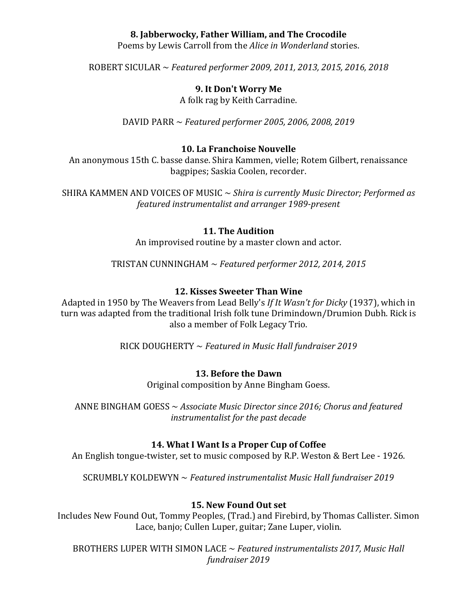## **8. Jabberwocky, Father William, and The Crocodile**

Poems by Lewis Carroll from the *Alice in Wonderland* stories.

ROBERT SICULAR ~ *Featured performer 2009, 2011, 2013, 2015, 2016, 2018* 

### **9. It Don't Worry Me**

A folk rag by Keith Carradine.

DAVID PARR ~ *Featured performer* 2005, 2006, 2008, 2019

#### **10. La Franchoise Nouvelle**

An anonymous 15th C. basse danse. Shira Kammen, vielle; Rotem Gilbert, renaissance bagpipes; Saskia Coolen, recorder.

SHIRA KAMMEN AND VOICES OF MUSIC  $\sim$  Shira is currently Music Director; Performed as *featured instrumentalist and arranger 1989-present*

#### **11. The Audition**

An improvised routine by a master clown and actor.

TRISTAN CUNNINGHAM ~ *Featured performer* 2012, 2014, 2015

#### **12. Kisses Sweeter Than Wine**

Adapted in 1950 by The Weavers from Lead Belly's If It Wasn't for Dicky (1937), which in turn was adapted from the traditional Irish folk tune Drimindown/Drumion Dubh. Rick is also a member of Folk Legacy Trio.

RICK DOUGHERTY ~ Featured in Music Hall fundraiser 2019

#### **13. Before the Dawn**

Original composition by Anne Bingham Goess.

ANNE BINGHAM GOESS ~ Associate Music Director since 2016; Chorus and featured *instrumentalist for the past decade* 

#### **14. What I Want Is a Proper Cup of Coffee**

An English tongue-twister, set to music composed by R.P. Weston & Bert Lee - 1926.

SCRUMBLY KOLDEWYN ~ *Featured instrumentalist Music Hall fundraiser 2019* 

#### **15. New Found Out set**

Includes New Found Out, Tommy Peoples, (Trad.) and Firebird, by Thomas Callister. Simon Lace, banjo; Cullen Luper, guitar; Zane Luper, violin.

BROTHERS LUPER WITH SIMON LACE ~ *Featured instrumentalists 2017, Music Hall fundraiser 2019*